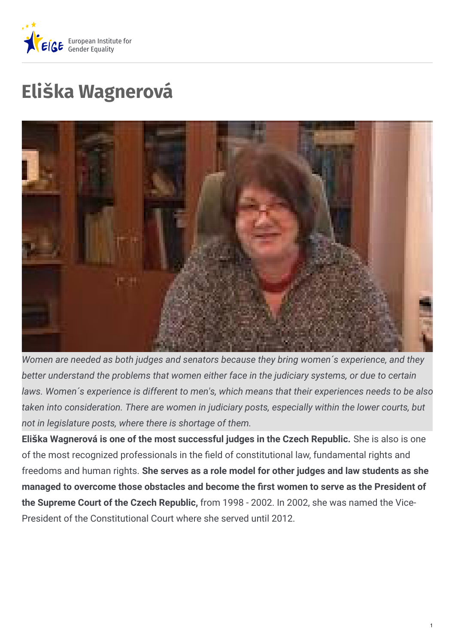

# **Eliška Wagnerová**



*Women are needed as both judges and senators because they bring women´s experience, and they better understand the problems that women either face in the judiciary systems, or due to certain laws. Women´s experience is different to men's, which means that their experiences needs to be also taken into consideration. There are women in judiciary posts, especially within the lower courts, but not in legislature posts, where there is shortage of them.*

**Eliška Wagnerová is one of the most successful judges in the Czech Republic.** She is also is one of the most recognized professionals in the field of constitutional law, fundamental rights and freedoms and human rights. **She serves as a role model for other judges and law students as she managed to overcome those obstacles and become the rst women to serve as the President of the Supreme Court of the Czech Republic,** from 1998 - 2002. In 2002, she was named the Vice-President of the Constitutional Court where she served until 2012.